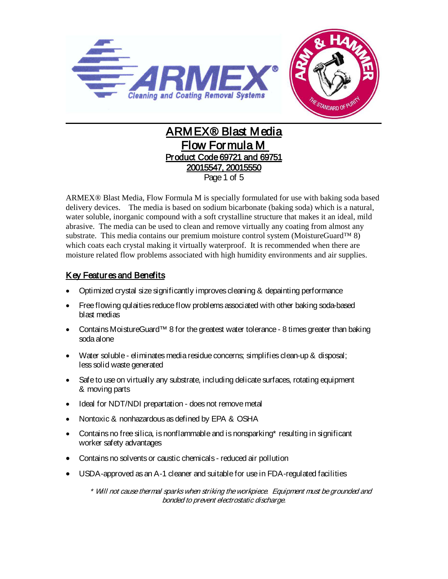

# ARMEX® Blast Media Flow Formula M Product Code 69721 and 69751 20015547, 20015550 Page 1 of 5

ARMEX® Blast Media, Flow Formula M is specially formulated for use with baking soda based delivery devices. The media is based on sodium bicarbonate (baking soda) which is a natural, water soluble, inorganic compound with a soft crystalline structure that makes it an ideal, mild abrasive. The media can be used to clean and remove virtually any coating from almost any substrate. This media contains our premium moisture control system (MoistureGuard™ 8) which coats each crystal making it virtually waterproof. It is recommended when there are moisture related flow problems associated with high humidity environments and air supplies.

# Key Features and Benefits

- Optimized crystal size significantly improves cleaning & depainting performance
- Free flowing qulaities reduce flow problems associated with other baking soda-based blast medias
- Contains MoistureGuard™ 8 for the greatest water tolerance 8 times greater than baking soda alone
- Water soluble eliminates media residue concerns; simplifies clean-up & disposal; less solid waste generated
- Safe to use on virtually any substrate, including delicate surfaces, rotating equipment & moving parts
- Ideal for NDT/NDI prepartation does not remove metal
- Nontoxic & nonhazardous as defined by EPA & OSHA
- Contains no free silica, is nonflammable and is nonsparking\* resulting in significant worker safety advantages
- Contains no solvents or caustic chemicals reduced air pollution
- USDA-approved as an A-1 cleaner and suitable for use in FDA-regulated facilities

\* Will not cause thermal sparks when striking the workpiece. Equipment must be grounded and bonded to prevent electrostatic discharge.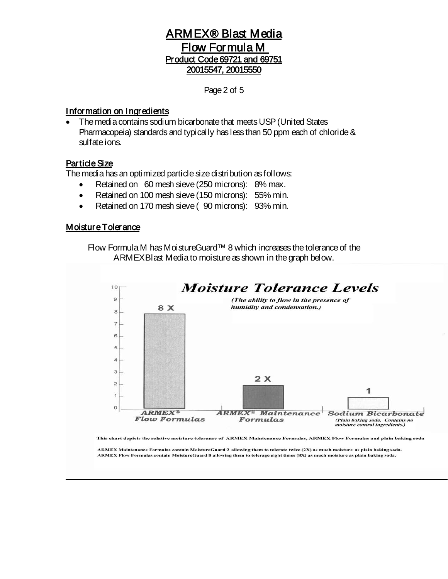Page 2 of 5

#### Information on Ingredients

• The media contains sodium bicarbonate that meets USP (United States Pharmacopeia) standards and typically has less than 50 ppm each of chloride & sulfate ions.

### Particle Size

The media has an optimized particle size distribution as follows:

- Retained on 60 mesh sieve (250 microns): 8% max.
- Retained on 100 mesh sieve (150 microns): 55% min.
- Retained on 170 mesh sieve (90 microns): 93% min.

#### **Moisture Tolerance**

Flow Formula M has MoistureGuard™ 8 which increases the tolerance of the ARMEXBlast Media to moisture as shown in the graph below.



This chart depicts the relative moisture tolerance of ARMEX Maintenance Formulas, ARMEX Flow Formulas and plain baking soda

ARMEX Maintenance Formulas contain MoistureGuard 2 allowing them to tolerate twice (2X) as much moisture as plain baking soda. ARMEX Flow Formulas contain MoistureGuard 8 allowing them to tolerage eight times (8X) as much moisture as plain baking soda.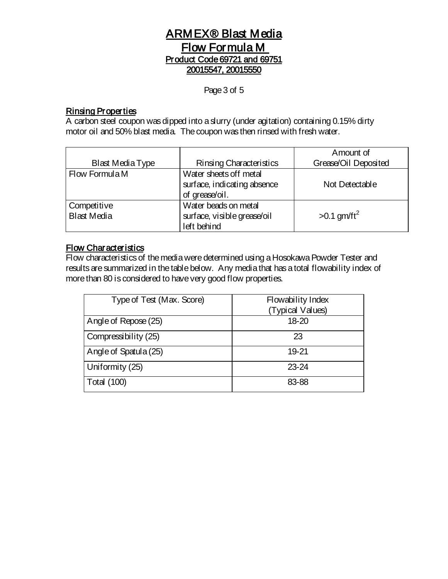Page 3 of 5

### Rinsing Properties

A carbon steel coupon was dipped into a slurry (under agitation) containing 0.15% dirty motor oil and 50% blast media. The coupon was then rinsed with fresh water.

|                         |                             | Amount of                 |
|-------------------------|-----------------------------|---------------------------|
| <b>Blast Media Type</b> | Rinsing Characteristics     | Grease/Oil Deposited      |
| Flow Formula M          | Water sheets off metal      |                           |
|                         | surface, indicating absence | Not Detectable            |
|                         | of grease/oil.              |                           |
| Competitive             | Water beads on metal        |                           |
| <b>Blast Media</b>      | surface, visible grease/oil | $>0.1$ gm/ft <sup>2</sup> |
|                         | left behind                 |                           |

## Flow Characteristics

Flow characteristics of the media were determined using a Hosokawa Powder Tester and results are summarized in the table below. Any media that has a total flowability index of more than 80 is considered to have very good flow properties.

| Type of Test (Max. Score) | Flowability Index<br>(Typical Values) |
|---------------------------|---------------------------------------|
| Angle of Repose (25)      | 18-20                                 |
| Compressibility (25)      | 23                                    |
| Angle of Spatula (25)     | 19-21                                 |
| Uniformity (25)           | $23 - 24$                             |
| <b>Total (100)</b>        | 83-88                                 |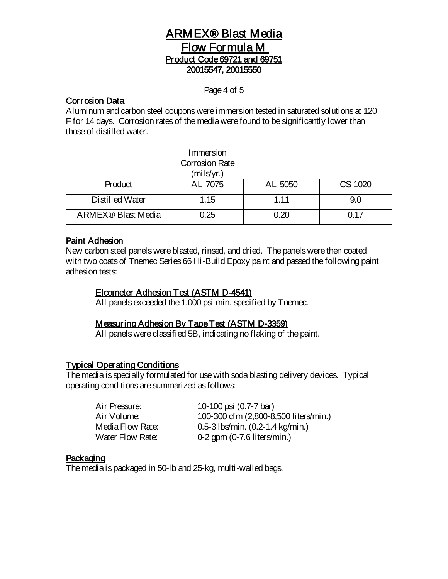#### Page 4 of 5

## Corrosion Data

Aluminum and carbon steel coupons were immersion tested in saturated solutions at 120 F for 14 days. Corrosion rates of the media were found to be significantly lower than those of distilled water.

|                                | Immersion<br><b>Corrosion Rate</b><br>(mils/yr.) |         |         |
|--------------------------------|--------------------------------------------------|---------|---------|
| Product                        | AL-7075                                          | AL-5050 | CS-1020 |
| Distilled Water                | 1.15                                             | 1.11    | 9.0     |
| ARMEX <sup>®</sup> Blast Media | 0.25                                             | 0.20    | በ 17    |

### Paint Adhesion

New carbon steel panels were blasted, rinsed, and dried. The panels were then coated with two coats of Tnemec Series 66 Hi-Build Epoxy paint and passed the following paint adhesion tests:

#### Elcometer Adhesion Test (ASTM D-4541)

All panels exceeded the 1,000 psi min. specified by Tnemec.

# Measuring Adhesion By Tape Test (ASTM D-3359)

All panels were classified 5B, indicating no flaking of the paint.

## Typical Operating Conditions

The media is specially formulated for use with soda blasting delivery devices. Typical operating conditions are summarized as follows:

| Air Pressure:    | 10-100 psi (0.7-7 bar)                       |
|------------------|----------------------------------------------|
| Air Volume:      | 100-300 cfm (2,800-8,500 liters/min.)        |
| Media Flow Rate: | 0.5-3 lbs/min. $(0.2 - 1.4 \text{ kg/min.})$ |
| Water Flow Rate: | $0-2$ gpm $(0-7.6$ liters/min.)              |

#### **Packaging**

The media is packaged in 50-lb and 25-kg, multi-walled bags.